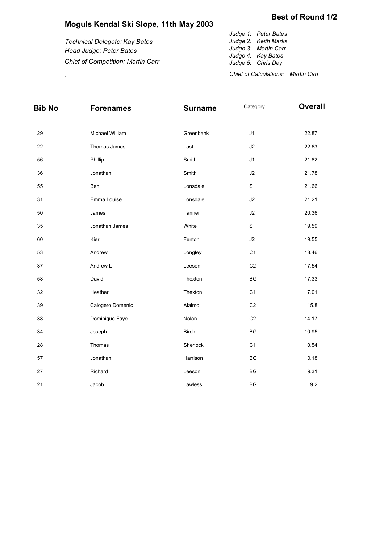## **Moguls Kendal Ski Slope, 11th May 2003**

|                                          | Judge 1: Peter Bates                      |
|------------------------------------------|-------------------------------------------|
| Technical Delegate: Kay Bates            | Judge 2: Keith Marks                      |
| Head Judge: Peter Bates                  | Judge 3: Martin Carr                      |
|                                          | Judge 4: Kay Bates                        |
| <b>Chief of Competition: Martin Carr</b> | Judge 5: Chris Dey                        |
|                                          | <b>Chief of Calculations: Martin Carr</b> |
|                                          |                                           |

| <b>Bib No</b> | <b>Forenames</b> | <b>Surname</b> | Category       | <b>Overall</b> |
|---------------|------------------|----------------|----------------|----------------|
| 29            | Michael William  | Greenbank      | J1             | 22.87          |
| 22            | Thomas James     | Last           | J2             | 22.63          |
| 56            | Phillip          | Smith          | J1             | 21.82          |
| 36            | Jonathan         | Smith          | J2             | 21.78          |
| 55            | Ben              | Lonsdale       | $\mathsf S$    | 21.66          |
| 31            | Emma Louise      | Lonsdale       | J2             | 21.21          |
| 50            | James            | Tanner         | J2             | 20.36          |
| 35            | Jonathan James   | White          | $\mathbf S$    | 19.59          |
| 60            | Kier             | Fenton         | $\sf J2$       | 19.55          |
| 53            | Andrew           | Longley        | C <sub>1</sub> | 18.46          |
| 37            | Andrew L         | Leeson         | C <sub>2</sub> | 17.54          |
| 58            | David            | Thexton        | BG             | 17.33          |
| 32            | Heather          | Thexton        | C <sub>1</sub> | 17.01          |
| 39            | Calogero Domenic | Alaimo         | C <sub>2</sub> | 15.8           |
| 38            | Dominique Faye   | Nolan          | C <sub>2</sub> | 14.17          |
| 34            | Joseph           | <b>Birch</b>   | BG             | 10.95          |
| 28            | Thomas           | Sherlock       | C <sub>1</sub> | 10.54          |
| 57            | Jonathan         | Harrison       | BG             | 10.18          |
| $27\,$        | Richard          | Leeson         | BG             | 9.31           |
| 21            | Jacob            | Lawless        | BG             | 9.2            |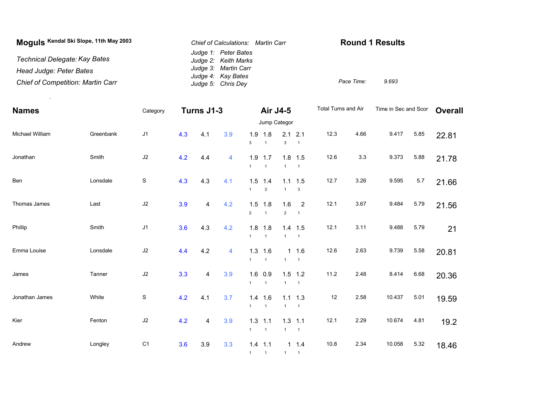| Moguls Kendal Ski Slope, 11th May 2003   | Chief of Calculations: Martin Carr           | <b>Round 1 Results</b> |       |
|------------------------------------------|----------------------------------------------|------------------------|-------|
| Technical Delegate: Kay Bates            | Judge 1: Peter Bates<br>Judge 2: Keith Marks |                        |       |
| Head Judge: Peter Bates                  | Judge 3: Martin Carr                         |                        |       |
| <b>Chief of Competition: Martin Carr</b> | Judge 4: Kay Bates<br>Judge 5: Chris Dey     | Pace Time:             | 9.693 |

.

| <b>Names</b>    |           | Category       | Turns J1-3 |     | Air J4-5 |                       |                             | Total Turns and Air   |                                  | Time in Sec and Scor |      | <b>Overall</b> |      |       |  |
|-----------------|-----------|----------------|------------|-----|----------|-----------------------|-----------------------------|-----------------------|----------------------------------|----------------------|------|----------------|------|-------|--|
|                 |           |                |            |     |          | Jump Categor          |                             |                       |                                  |                      |      |                |      |       |  |
| Michael William | Greenbank | J <sub>1</sub> | 4.3        | 4.1 | 3.9      | 1.9<br>$\mathbf{3}$   | 1.8<br>$\overline{1}$       | 2.1<br>$\mathbf{3}$   | 2.1<br>$\overline{1}$            | 12.3                 | 4.66 | 9.417          | 5.85 | 22.81 |  |
| Jonathan        | Smith     | J2             | 4.2        | 4.4 | 4        | 1.9<br>$\mathbf{1}$   | 1.7<br>$\overline{1}$       | $\mathbf{1}$          | $1.8$ 1.5<br>$\overline{1}$      | 12.6                 | 3.3  | 9.373          | 5.88 | 21.78 |  |
| Ben             | Lonsdale  | $\mathbf S$    | 4.3        | 4.3 | 4.1      | 1.5<br>$\mathbf{1}$   | 1.4<br>$\mathbf{3}$         | $\mathbf{1}$          | $1.1$ 1.5<br>3                   | 12.7                 | 3.26 | 9.595          | 5.7  | 21.66 |  |
| Thomas James    | Last      | $\sf J2$       | 3.9        | 4   | 4.2      | 1.5<br>$\overline{2}$ | 1.8<br>$\overline{1}$       | 1.6<br>$\overline{2}$ | $\overline{2}$<br>$\overline{1}$ | 12.1                 | 3.67 | 9.484          | 5.79 | 21.56 |  |
| Phillip         | Smith     | J1             | 3.6        | 4.3 | 4.2      | $\mathbf{1}$          | $1.8$ 1.8<br>$\overline{1}$ | $\mathbf{1}$          | $1.4$ 1.5<br>$\overline{1}$      | 12.1                 | 3.11 | 9.488          | 5.79 | 21    |  |
| Emma Louise     | Lonsdale  | $\sf J2$       | 4.4        | 4.2 | 4        | 1.3<br>$\mathbf{1}$   | 1.6<br>$\overline{1}$       | $\mathbf{1}$          | $1 \t1.6$<br>$\overline{1}$      | 12.6                 | 2.63 | 9.739          | 5.58 | 20.81 |  |
| James           | Tanner    | $\sf J2$       | 3.3        | 4   | 3.9      | 1.6<br>$\mathbf{1}$   | 0.9<br>$\overline{1}$       | $\mathbf{1}$          | $1.5$ 1.2<br>$\overline{1}$      | 11.2                 | 2.48 | 8.414          | 6.68 | 20.36 |  |
| Jonathan James  | White     | $\mathbb S$    | 4.2        | 4.1 | 3.7      | $\mathbf{1}$          | $1.4$ 1.6<br>$\overline{1}$ | $\mathbf{1}$          | $1.1$ 1.3<br>$\overline{1}$      | 12                   | 2.58 | 10.437         | 5.01 | 19.59 |  |
| Kier            | Fenton    | $\sf J2$       | 4.2        | 4   | 3.9      | 1.3<br>$\mathbf{1}$   | 1.1<br>$\overline{1}$       | $\mathbf{1}$          | $1.3$ 1.1<br>$\overline{1}$      | 12.1                 | 2.29 | 10.674         | 4.81 | 19.2  |  |
| Andrew          | Longley   | C <sub>1</sub> | 3.6        | 3.9 | 3.3      | $\mathbf{1}$          | $1.4$ 1.1<br>$\mathbf{1}$   | $\mathbf{1}$          | $1 \t1.4$<br>$\mathbf{1}$        | 10.8                 | 2.34 | 10.058         | 5.32 | 18.46 |  |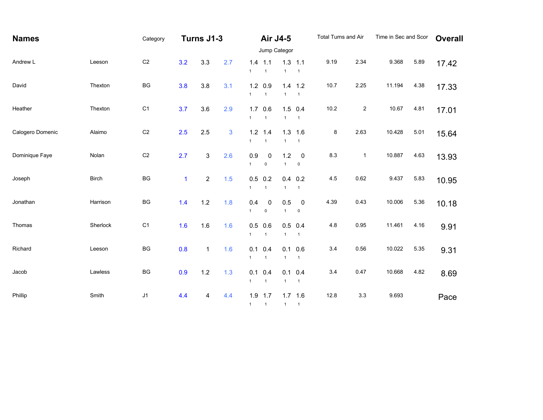| <b>Names</b>     |              | Category       | Turns J1-3   |                           | Air J4-5     |                     |                                 | Total Turns and Air |                               | Time in Sec and Scor |                | <b>Overall</b> |      |       |
|------------------|--------------|----------------|--------------|---------------------------|--------------|---------------------|---------------------------------|---------------------|-------------------------------|----------------------|----------------|----------------|------|-------|
|                  |              |                |              |                           | Jump Categor |                     |                                 |                     |                               |                      |                |                |      |       |
| Andrew L         | Leeson       | C <sub>2</sub> | 3.2          | 3.3                       | 2.7          | $\mathbf{1}$        | $1.4$ 1.1<br>$\mathbf{1}$       | 1.3<br>$\mathbf{1}$ | 1.1<br>$\overline{1}$         | 9.19                 | 2.34           | 9.368          | 5.89 | 17.42 |
| David            | Thexton      | BG             | 3.8          | 3.8                       | 3.1          | $\mathbf{1}$        | $1.2 \quad 0.9$<br>$\mathbf{1}$ | 1.4<br>$\mathbf{1}$ | 1.2<br>$\mathbf{1}$           | 10.7                 | 2.25           | 11.194         | 4.38 | 17.33 |
| Heather          | Thexton      | C <sub>1</sub> | 3.7          | 3.6                       | 2.9          | 1.7<br>$\mathbf{1}$ | 0.6<br>$\overline{1}$           | 1.5<br>$\mathbf{1}$ | 0.4<br>$\mathbf{1}$           | 10.2                 | $\overline{c}$ | 10.67          | 4.81 | 17.01 |
| Calogero Domenic | Alaimo       | C <sub>2</sub> | 2.5          | 2.5                       | 3            | $\mathbf{1}$        | $1.2$ 1.4<br>$\mathbf{1}$       | $\mathbf{1}$        | $1.3$ 1.6<br>$\mathbf{1}$     | 8                    | 2.63           | 10.428         | 5.01 | 15.64 |
| Dominique Faye   | Nolan        | C <sub>2</sub> | 2.7          | $\ensuremath{\mathsf{3}}$ | 2.6          | 0.9<br>$\mathbf{1}$ | 0<br>$\pmb{0}$                  | 1.2<br>$\mathbf{1}$ | $\mathbf 0$<br>$\pmb{0}$      | 8.3                  | $\mathbf{1}$   | 10.887         | 4.63 | 13.93 |
| Joseph           | <b>Birch</b> | BG             | $\mathbf{1}$ | $\sqrt{2}$                | 1.5          | 0.5<br>$\mathbf{1}$ | 0.2<br>$\mathbf{1}$             | 0.4<br>$\mathbf{1}$ | 0.2<br>$\overline{1}$         | 4.5                  | 0.62           | 9.437          | 5.83 | 10.95 |
| Jonathan         | Harrison     | BG             | 1.4          | 1.2                       | 1.8          | 0.4<br>$\mathbf{1}$ | $\mathbf 0$<br>$\pmb{0}$        | 0.5<br>$\mathbf{1}$ | $\pmb{0}$<br>0                | 4.39                 | 0.43           | 10.006         | 5.36 | 10.18 |
| Thomas           | Sherlock     | C <sub>1</sub> | 1.6          | 1.6                       | 1.6          | $\mathbf{1}$        | $0.5$ 0.6<br>$\mathbf{1}$       | 0.5<br>$\mathbf{1}$ | 0.4<br>$\overline{1}$         | 4.8                  | 0.95           | 11.461         | 4.16 | 9.91  |
| Richard          | Leeson       | BG             | 0.8          | $\mathbf{1}$              | 1.6          | $\mathbf{1}$        | $0.1 \quad 0.4$<br>$\mathbf{1}$ | $\mathbf{1}$        | $0.1 \ 0.6$<br>$\overline{1}$ | 3.4                  | 0.56           | 10.022         | 5.35 | 9.31  |
| Jacob            | Lawless      | BG             | 0.9          | 1.2                       | 1.3          | 0.1<br>$\mathbf{1}$ | 0.4<br>$\overline{1}$           | 0.1<br>$\mathbf{1}$ | 0.4<br>$\overline{1}$         | 3.4                  | 0.47           | 10.668         | 4.82 | 8.69  |
| Phillip          | Smith        | J1             | 4.4          | $\overline{4}$            | 4.4          |                     | $1.9$ 1.7<br>$1 \quad 1$        | 1 1                 | $1.7$ 1.6                     | 12.8                 | 3.3            | 9.693          |      | Pace  |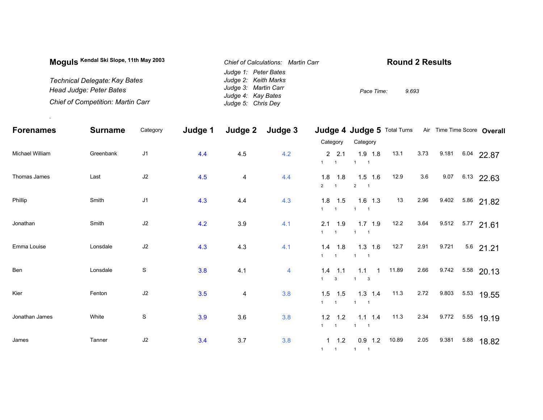| Moquis Kendal Ski Slope, 11th May 2003   | Chief of Calculations: Martin Carr       | <b>Round 2 Results</b> |
|------------------------------------------|------------------------------------------|------------------------|
|                                          | Judge 1: Peter Bates                     |                        |
| Technical Delegate: Kay Bates            | Judge 2: Keith Marks                     |                        |
| Head Judge: Peter Bates                  | Judge 3: Martin Carr                     | 9.693<br>Pace Time:    |
| <b>Chief of Competition: Martin Carr</b> | Judge 4: Kay Bates<br>Judge 5: Chris Dey |                        |

.

| <b>Forenames</b> | <b>Surname</b> | Category      | Judge 1 | Judge 2                 | Judge 3 |                                                        | <b>Judge 4 Judge 5 Total Turns</b>                    |       |      | Air Time Time Score Overall |              |             |
|------------------|----------------|---------------|---------|-------------------------|---------|--------------------------------------------------------|-------------------------------------------------------|-------|------|-----------------------------|--------------|-------------|
|                  |                |               |         |                         |         | Category                                               | Category                                              |       |      |                             |              |             |
| Michael William  | Greenbank      | J1            | 4.4     | 4.5                     | 4.2     | 2, 2.1<br>1<br>$\overline{\phantom{0}}$ 1              | $1.9$ 1.8<br>$\mathbf{1}$                             | 13.1  | 3.73 | 9.181                       | 6.04         | 22.87       |
| Thomas James     | Last           | J2            | 4.5     | 4                       | 4.4     | 1.8<br>1.8<br>$\overline{2}$<br>$\overline{1}$         | $1.5$ 1.6<br>$2 \qquad 1$                             | 12.9  | 3.6  | 9.07                        |              | 6.13 22.63  |
| Phillip          | Smith          | J1            | 4.3     | 4.4                     | 4.3     | $1.8$ 1.5<br>1<br>$\overline{1}$                       | $1.6$ 1.3<br>$1 \quad 1$                              | 13    | 2.96 | 9.402 5.86 21.82            |              |             |
| Jonathan         | Smith          | J2            | 4.2     | 3.9                     | 4.1     | 2.1<br>1.9<br>$\mathbf{1}$<br>$\overline{\phantom{0}}$ | $1.7$ $1.9$<br>$\overline{1}$                         | 12.2  | 3.64 | $9.512$ $5.77$ 21.61        |              |             |
| Emma Louise      | Lonsdale       | J2            | 4.3     | 4.3                     | 4.1     | $1.4$ 1.8<br>1<br>$\overline{1}$                       | $1.3$ 1.6<br>$1 \quad 1$                              | 12.7  | 2.91 | 9.721                       |              | $5.6$ 21.21 |
| Ben              | Lonsdale       | ${\mathbb S}$ | 3.8     | 4.1                     | 4       | 1.4<br>1.1<br>$\mathbf{3}$<br>$\mathbf{1}$             | $1.1 \t1$<br>$\overline{\phantom{a}}$<br>$\mathbf{1}$ | 11.89 | 2.66 | 9.742 5.58 20.13            |              |             |
| Kier             | Fenton         | J2            | 3.5     | $\overline{\mathbf{4}}$ | 3.8     | $1.5$ 1.5<br>1<br>$\overline{1}$                       | $1.3$ 1.4<br>$1 \quad 1$                              | 11.3  | 2.72 | 9.803                       | $5.53$ 19.55 |             |
| Jonathan James   | White          | $\mathbf S$   | 3.9     | 3.6                     | 3.8     | $1.2$ 1.2<br>$1 \quad 1$                               | $1.1$ 1.4<br>$1 \quad 1$                              | 11.3  | 2.34 | 9.772 5.55 19.19            |              |             |
| James            | Tanner         | J2            | 3.4     | 3.7                     | 3.8     | $1 \t1.2$<br>$1 \quad 1$                               | $0.9$ 1.2<br>$1 \quad 1$                              | 10.89 | 2.05 | 9.381                       | 5.88         | 18.82       |